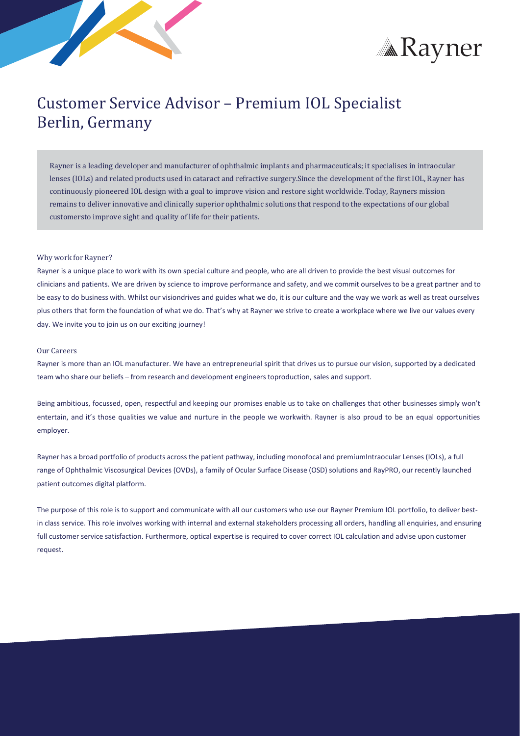



# Customer Service Advisor – Premium IOL Specialist Berlin, Germany

Rayner is a leading developer and manufacturer of ophthalmic implants and pharmaceuticals; it specialises in intraocular lenses (IOLs) and related products used in cataract and refractive surgery.Since the development of the first IOL, Rayner has continuously pioneered IOL design with a goal to improve vision and restore sight worldwide. Today, Rayners mission remains to deliver innovative and clinically superior ophthalmic solutions that respond to the expectations of our global customersto improve sight and quality of life for their patients.

### Why work for Rayner?

Rayner is a unique place to work with its own special culture and people, who are all driven to provide the best visual outcomes for clinicians and patients. We are driven by science to improve performance and safety, and we commit ourselves to be a great partner and to be easy to do business with. Whilst our visiondrives and guides what we do, it is our culture and the way we work as well as treat ourselves plus others that form the foundation of what we do. That's why at Rayner we strive to create a workplace where we live our values every day. We invite you to join us on our exciting journey!

### Our Careers

Rayner is more than an IOL manufacturer. We have an entrepreneurial spirit that drives us to pursue our vision, supported by a dedicated team who share our beliefs – from research and development engineers toproduction, sales and support.

Being ambitious, focussed, open, respectful and keeping our promises enable us to take on challenges that other businesses simply won't entertain, and it's those qualities we value and nurture in the people we workwith. Rayner is also proud to be an equal opportunities employer.

Rayner has a broad portfolio of products acrossthe patient pathway, including monofocal and premiumIntraocular Lenses (IOLs), a full range of Ophthalmic Viscosurgical Devices (OVDs), a family of Ocular Surface Disease (OSD) solutions and RayPRO, our recently launched patient outcomes digital platform.

The purpose of this role is to support and communicate with all our customers who use our Rayner Premium IOL portfolio, to deliver bestin class service. This role involves working with internal and external stakeholders processing all orders, handling all enquiries, and ensuring full customer service satisfaction. Furthermore, optical expertise is required to cover correct IOL calculation and advise upon customer request.